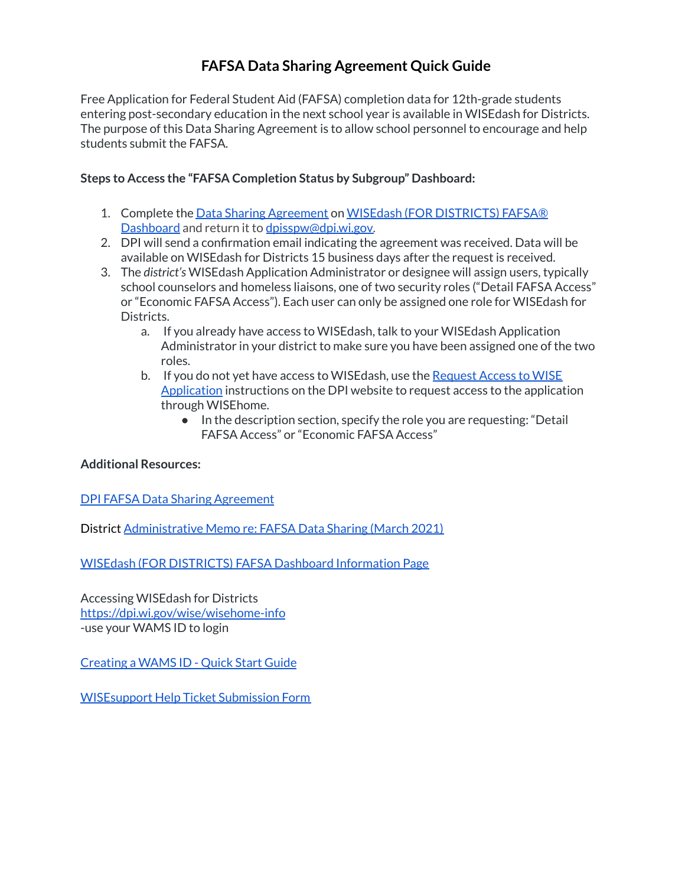## **FAFSA Data Sharing Agreement Quick Guide**

Free Application for Federal Student Aid (FAFSA) completion data for 12th-grade students entering post-secondary education in the next school year is available in WISEdash for Districts. The purpose of this Data Sharing Agreement is to allow school personnel to encourage and help students submit the FAFSA.

## **Steps to Access the "FAFSA Completion Status by Subgroup" Dashboard:**

- 1. Complete the Data Sharing [Agreement](https://dpi.wi.gov/sites/default/files/imce/wisedash/pdf/District_FAFSA_Data_Sharing_Agreement.pdf) on WISEdash (FOR [DISTRICTS\)](https://dpi.wi.gov/wisedash/districts/about-data/FAFSA) FAFSA® [Dashboard](https://dpi.wi.gov/wisedash/districts/about-data/FAFSA) and return it to [dpisspw@dpi.wi.gov.](mailto:dpisspw@dpi.wi.gov)
- 2. DPI will send a confirmation email indicating the agreement was received. Data will be available on WISEdash for Districts 15 business days after the request is received.
- 3. The *district's* WISEdash Application Administrator or designee will assign users, typically school counselors and homeless liaisons, one of two security roles ("Detail FAFSA Access" or "Economic FAFSA Access"). Each user can only be assigned one role for WISEdash for Districts.
	- a. If you already have access to WISEdash, talk to your WISEdash Application Administrator in your district to make sure you have been assigned one of the two roles.
	- b. If you do not yet have access to WISE dash, use the [Request](https://dpi.wi.gov/wise/wisehome-info) Access to WISE [Application](https://dpi.wi.gov/wise/wisehome-info) instructions on the DPI website to request access to the application through WISEhome.
		- In the description section, specify the role you are requesting: "Detail FAFSA Access" or "Economic FAFSA Access"

## **Additional Resources:**

DPI FAFSA Data Sharing [Agreement](https://dpi.wi.gov/sites/default/files/imce/wisedash/pdf/District_FAFSA_Data_Sharing_Agreement.pdf)

District [Administrative](https://dpi.wi.gov/sites/default/files/imce/administrators/e-mail/FAFSA_Memo.pdf) Memo re: FAFSA Data Sharing (March 2021)

WISEdash (FOR [DISTRICTS\)](https://dpi.wi.gov/wisedash/districts/about-data/FAFSA) FAFSA Dashboard Information Page

Accessing WISEdash for Districts <https://dpi.wi.gov/wise/wisehome-info> -use your WAMS ID to login

[Creating](https://dpi.wi.gov/sites/default/files/imce/wisedash/pdf/wams-guide.pdf) a WAMS ID - Quick Start Guide

[WISEsupport](https://dpi.wi.gov/wisedata/help/request) Help Ticket Submission Form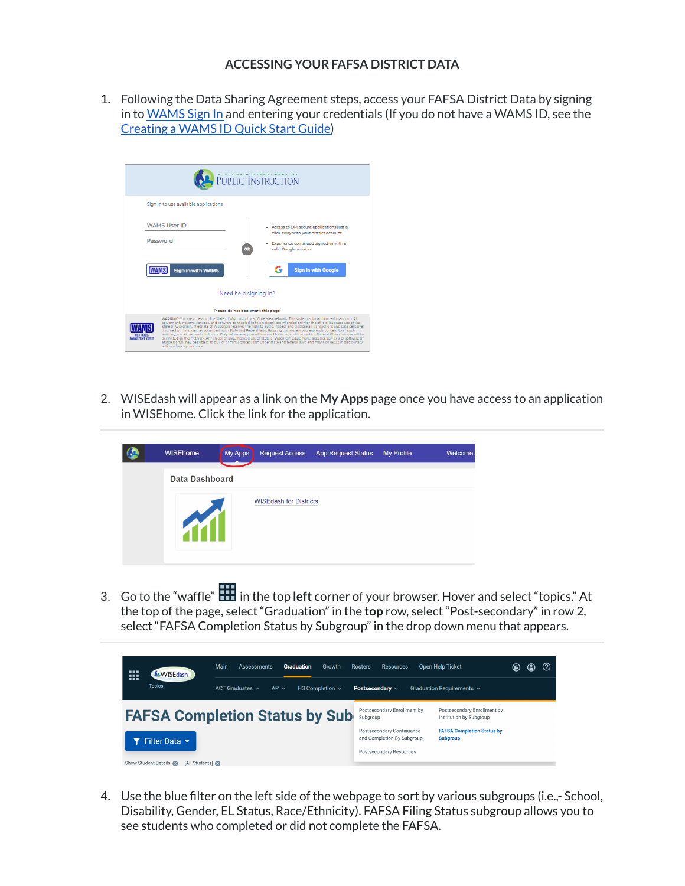## **ACCESSING YOUR FAFSA DISTRICT DATA**

1. Following the Data Sharing Agreement steps, access your FAFSA District Data by signing in to [WAMS](https://access.dpi.wi.gov/nidp/idff/sso?RequestID=idkcN_Eba9f3-zKTGk3bDVfESwUNE&MajorVersion=1&MinorVersion=2&IssueInstant=2021-04-12T15%3A43%3A48Z&ProviderID=https%3A%2F%2Faccess.dpi.wi.gov%3A443%2Fnesp%2Fidff%2Fmetadata&RelayState=Mw%3D%3D&consent=urn%3Aliberty%3Aconsent%3Aunavailable&agAppNa=APPS6&ForceAuthn=false&IsPassive=false&NameIDPolicy=onetime&ProtocolProfile=http%3A%2F%2Fprojectliberty.org%2Fprofiles%2Fbrws-art&target=https%3A%2F%2Fapps6.dpi.wi.gov%2FWISEhome%2F&AuthnContextStatementRef=secure%2Fname%2Fcustom%2Furi) Sign In and entering your credentials (If you do not have a WAMS ID, see the [Creating](https://dpi.wi.gov/sites/default/files/imce/wisedash/pdf/wams-guide.pdf) a WAMS ID Quick Start Guide)

|                                | PUBLIC INSTRUCTION                                                                                                                                                                                                                                                                                                                                                                                                                                                                                                                                                                                                                                                                                                                                                                                                                                                                                                                                         |  |  |  |  |  |  |
|--------------------------------|------------------------------------------------------------------------------------------------------------------------------------------------------------------------------------------------------------------------------------------------------------------------------------------------------------------------------------------------------------------------------------------------------------------------------------------------------------------------------------------------------------------------------------------------------------------------------------------------------------------------------------------------------------------------------------------------------------------------------------------------------------------------------------------------------------------------------------------------------------------------------------------------------------------------------------------------------------|--|--|--|--|--|--|
|                                | Sign in to use available applications                                                                                                                                                                                                                                                                                                                                                                                                                                                                                                                                                                                                                                                                                                                                                                                                                                                                                                                      |  |  |  |  |  |  |
|                                | <b>WAMS User ID</b><br>Access to DPI secure applications just a<br>click away with your district account<br>Password<br>Experience continued signed-in with a<br>valid Google session<br><b>Sign in with Google</b><br><b>Sign in with WAMS</b><br>G                                                                                                                                                                                                                                                                                                                                                                                                                                                                                                                                                                                                                                                                                                       |  |  |  |  |  |  |
|                                | Need help signing in?                                                                                                                                                                                                                                                                                                                                                                                                                                                                                                                                                                                                                                                                                                                                                                                                                                                                                                                                      |  |  |  |  |  |  |
|                                | Please do not bookmark this page.                                                                                                                                                                                                                                                                                                                                                                                                                                                                                                                                                                                                                                                                                                                                                                                                                                                                                                                          |  |  |  |  |  |  |
| <b><i>ALCOHOLYT CATTER</i></b> | WARNING: You are accessing the State of Wisconsin Local/Wide area network. This system is for authorized users only. All<br>equipment, systems, services, and software connected to this network are intended only for the official business use of the<br>State of Wisconsin. The State of Wisconsin reserves the right to audit, inspect and disclose all transactions and data sent over<br>this medium in a manner consistent with State and Federal laws. By using this system you expressly consent to all such<br>auditing, inspection and disclosure. Only software approved, scanned for virus, and licensed for State of Wisconsin use will be<br>permitted on this network. Any illegal or unauthorized use of State of Wisconsin equipment, systems, services, or software by<br>any person(s) may be subject to civil or criminal prosecution under state and federal laws, and may also result in disciplinary.<br>action where appropriate. |  |  |  |  |  |  |

2. WISEdash will appear as a link on the **My Apps** page once you have access to an application in WISEhome. Click the link for the application.

| 62 | <b>WISEhome</b>       | <b>My Apps</b> | <b>Request Access</b>         | <b>App Request Status</b> | My Profile | Welcome |
|----|-----------------------|----------------|-------------------------------|---------------------------|------------|---------|
|    | <b>Data Dashboard</b> |                |                               |                           |            |         |
|    |                       |                | <b>WISEdash for Districts</b> |                           |            |         |

3. Go to the "waffle" in the top **left** corner of your browser. Hover and select "topics." At the top of the page, select "Graduation" in the **top** row, select "Post-secondary" in row 2, select "FAFSA Completion Status by Subgroup" in the drop down menu that appears.



4. Use the blue filter on the left side of the webpage to sort by various subgroups (i.e.,- School, Disability, Gender, EL Status, Race/Ethnicity). FAFSA Filing Status subgroup allows you to see students who completed or did not complete the FAFSA.